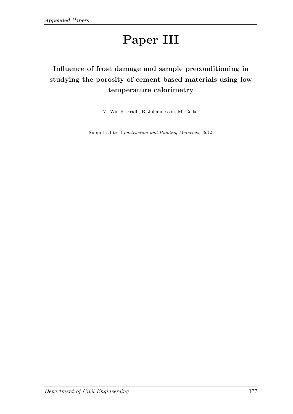# Paper III

# Influence of frost damage and sample preconditioning in studying the porosity of cement based materials using low temperature calorimetry

M. Wu, K. Fridh, B. Johannesson, M. Geiker

Submitted to: Construction and Building Materials, 2014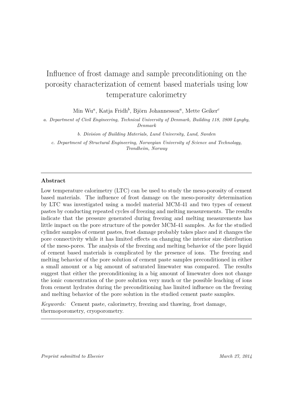# Influence of frost damage and sample preconditioning on the porosity characterization of cement based materials using low temperature calorimetry

Min Wu*<sup>a</sup>* , Katja Fridh*<sup>b</sup>* , Björn Johannesson*<sup>a</sup>* , Mette Geiker*<sup>c</sup>*

*a. Department of Civil Engineering, Technical University of Denmark, Building 118, 2800 Lyngby, Denmark*

*b. Division of Building Materials, Lund University, Lund, Sweden*

*c. Department of Structural Engineering, Norwegian University of Science and Technology, Trondheim, Norway*

### **Abstract**

Low temperature calorimetry (LTC) can be used to study the meso-porosity of cement based materials. The influence of frost damage on the meso-porosity determination by LTC was investigated using a model material MCM-41 and two types of cement pastes by conducting repeated cycles of freezing and melting measurements. The results indicate that the pressure generated during freezing and melting measurements has little impact on the pore structure of the powder MCM-41 samples. As for the studied cylinder samples of cement pastes, frost damage probably takes place and it changes the pore connectivity while it has limited effects on changing the interior size distribution of the meso-pores. The analysis of the freezing and melting behavior of the pore liquid of cement based materials is complicated by the presence of ions. The freezing and melting behavior of the pore solution of cement paste samples preconditioned in either a small amount or a big amount of saturated limewater was compared. The results suggest that either the preconditioning in a big amount of limewater does not change the ionic concentration of the pore solution very much or the possible leaching of ions from cement hydrates during the preconditioning has limited influence on the freezing and melting behavior of the pore solution in the studied cement paste samples.

*Keywords:* Cement paste, calorimetry, freezing and thawing, frost damage, thermoporometry, cryoporometry.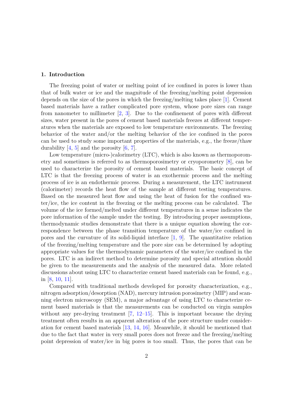#### **1. Introduction**

The freezing point of water or melting point of ice confined in pores is lower than that of bulk water or ice and the magnitude of the freezing/melting point depression depends on the size of the pores in which the freezing/melting takes place [1]. Cement based materials have a rather complicated pore system, whose pore sizes can range from nanometer to millimeter  $[2, 3]$ . Due to the confinement of pores with different sizes, water present in the pores of cement based materials freezes at different temperatures when the materials are exposed to low temperature environments. The freezing behavior of the water and/or the melting behavior of the ice confined in the pores can be used to study some important properties of the materials, e.g., the freeze/thaw durability  $[4, 5]$  and the porosity  $[6, 7]$ .

Low temperature (micro-)calorimetry (LTC), which is also known as thermoporometry and sometimes is referred to as thermoporosimetry or cryoporometry [8], can be used to characterize the porosity of cement based materials. The basic concept of LTC is that the freezing process of water is an exothermic process and the melting process of ice is an endothermic process. During a measurement, the LTC instrument (calorimeter) records the heat flow of the sample at different testing temperatures. Based on the measured heat flow and using the heat of fusion for the confined water/ice, the ice content in the freezing or the melting process can be calculated. The volume of the ice formed/melted under different temperatures in a sense indicates the pore information of the sample under the testing. By introducing proper assumptions, thermodynamic studies demonstrate that there is a unique equation showing the correspondence between the phase transition temperature of the water/ice confined in pores and the curvature of its solid-liquid interface [1, 9]. The quantitative relation of the freezing/melting temperature and the pore size can be determined by adopting appropriate values for the thermodynamic parameters of the water/ice confined in the pores. LTC is an indirect method to determine porosity and special attention should be given to the measurements and the analysis of the measured data. More related discussions about using LTC to characterize cement based materials can be found, e.g., in [8, 10, 11].

Compared with traditional methods developed for porosity characterization, e.g., nitrogen adsorption/desorption (NAD), mercury intrusion porosimetry (MIP) and scanning electron microscopy (SEM), a major advantage of using LTC to characterize cement based materials is that the measurements can be conducted on virgin samples without any pre-drying treatment  $[7, 12$ –15. This is important because the drying treatment often results in an apparent alteration of the pore structure under consideration for cement based materials [13, 14, 16]. Meanwhile, it should be mentioned that due to the fact that water in very small pores does not freeze and the freezing/melting point depression of water/ice in big pores is too small. Thus, the pores that can be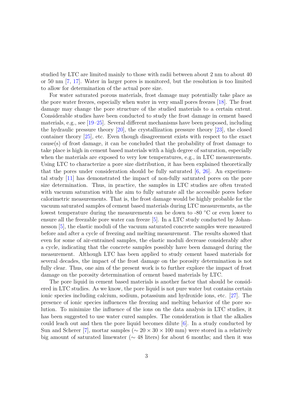studied by LTC are limited mainly to those with radii between about 2 nm to about 40 or 50 nm [7, 17]. Water in larger pores is monitored, but the resolution is too limited to allow for determination of the actual pore size.

For water saturated porous materials, frost damage may potentially take place as the pore water freezes, especially when water in very small pores freezes [18]. The frost damage may change the pore structure of the studied materials to a certain extent. Considerable studies have been conducted to study the frost damage in cement based materials, e.g., see [19–25]. Several different mechanisms have been proposed, including the hydraulic pressure theory  $[20]$ , the crystallization pressure theory  $[23]$ , the closed container theory [25], etc. Even though disagreement exists with respect to the exact cause(s) of frost damage, it can be concluded that the probability of frost damage to take place is high in cement based materials with a high degree of saturation, especially when the materials are exposed to very low temperatures, e.g., in LTC measurements. Using LTC to characterize a pore size distribution, it has been explained theoretically that the pores under consideration should be fully saturated [6, 26]. An experimental study [11] has demonstrated the impact of non-fully saturated pores on the pore size determination. Thus, in practice, the samples in LTC studies are often treated with vacuum saturation with the aim to fully saturate all the accessible pores before calorimetric measurements. That is, the frost damage would be highly probable for the vacuum saturated samples of cement based materials during LTC measurements, as the lowest temperature during the measurements can be down to -80  $°C$  or even lower to ensure all the freezable pore water can freeze [5]. In a LTC study conducted by Johannesson [5], the elastic moduli of the vacuum saturated concrete samples were measured before and after a cycle of freezing and melting measurement. The results showed that even for some of air-entrained samples, the elastic moduli decrease considerably after a cycle, indicating that the concrete samples possibly have been damaged during the measurement. Although LTC has been applied to study cement based materials for several decades, the impact of the frost damage on the porosity determination is not fully clear. Thus, one aim of the present work is to further explore the impact of frost damage on the porosity determination of cement based materials by LTC.

The pore liquid in cement based materials is another factor that should be considered in LTC studies. As we know, the pore liquid is not pure water but contains certain ionic species including calcium, sodium, potassium and hydroxide ions, etc. [27]. The presence of ionic species influences the freezing and melting behavior of the pore solution. To minimize the influence of the ions on the data analysis in LTC studies, it has been suggested to use water cured samples. The consideration is that the alkalies could leach out and then the pore liquid becomes dilute [6]. In a study conducted by Sun and Scherer [7], mortar samples ( $\sim 20 \times 30 \times 100$  mm) were stored in a relatively big amount of saturated limewater (∼ 48 liters) for about 6 months; and then it was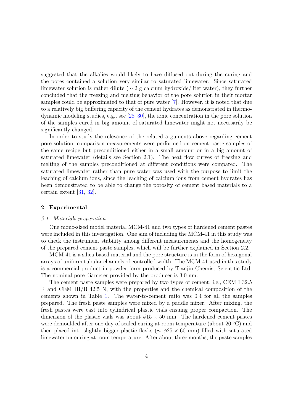suggested that the alkalies would likely to have diffused out during the curing and the pores contained a solution very similar to saturated limewater. Since saturated limewater solution is rather dilute ( $\sim 2$  g calcium hydroxide/liter water), they further concluded that the freezing and melting behavior of the pore solution in their mortar samples could be approximated to that of pure water [7]. However, it is noted that due to a relatively big buffering capacity of the cement hydrates as demonstrated in thermodynamic modeling studies, e.g., see [28–30], the ionic concentration in the pore solution of the samples cured in big amount of saturated limewater might not necessarily be significantly changed.

In order to study the relevance of the related arguments above regarding cement pore solution, comparison measurements were performed on cement paste samples of the same recipe but preconditioned either in a small amount or in a big amount of saturated limewater (details see Section 2.1). The heat flow curves of freezing and melting of the samples preconditioned at different conditions were compared. The saturated limewater rather than pure water was used with the purpose to limit the leaching of calcium ions, since the leaching of calcium ions from cement hydrates has been demonstrated to be able to change the porosity of cement based materials to a certain extent [31, 32].

### **2. Experimental**

#### *2.1. Materials preparation*

One mono-sized model material MCM-41 and two types of hardened cement pastes were included in this investigation. One aim of including the MCM-41 in this study was to check the instrument stability among different measurements and the homogeneity of the prepared cement paste samples, which will be further explained in Section 2.2.

MCM-41 is a silica based material and the pore structure is in the form of hexagonal arrays of uniform tubular channels of controlled width. The MCM-41 used in this study is a commercial product in powder form produced by Tianjin Chemist Scientific Ltd. The nominal pore diameter provided by the producer is 3.0 nm.

The cement paste samples were prepared by two types of cement, i.e., CEM I 32.5 R and CEM III/B 42.5 N, with the properties and the chemical composition of the cements shown in Table 1. The water-to-cement ratio was 0.4 for all the samples prepared. The fresh paste samples were mixed by a paddle mixer. After mixing, the fresh pastes were cast into cylindrical plastic vials ensuing proper compaction. The dimension of the plastic vials was about  $\phi$ 15  $\times$  50 mm. The hardened cement pastes were demoulded after one day of sealed curing at room temperature (about 20 ◦C) and then placed into slightly bigger plastic flasks (∼ *φ*25 × 60 mm) filled with saturated limewater for curing at room temperature. After about three months, the paste samples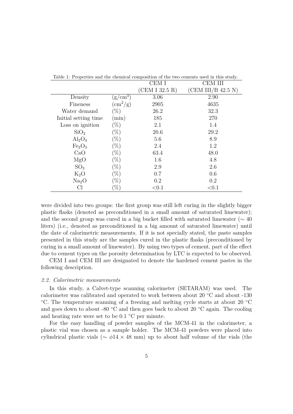|                                |                              | CEM I          | CEM III            |
|--------------------------------|------------------------------|----------------|--------------------|
|                                |                              | (CEM I 32.5 R) | (CEM III/B 42.5 N) |
| Density                        | $(g/cm^3)$                   | 3.06           | 2.90               |
| Fineness                       | $\rm \langle cm^2/g \rangle$ | 2905           | 4635               |
| Water demand                   | $(\%)$                       | 26.2           | 32.3               |
| Initial setting time           | min)                         | 185            | 270                |
| Loss on ignition               | $(\%)$                       | 2.1            | 1.4                |
| SiO <sub>2</sub>               | $(\%)$                       | 20.6           | 29.2               |
| $\text{Al}_2\text{O}_3$        | $(\%)$                       | 5.6            | 8.9                |
| Fe <sub>2</sub> O <sub>3</sub> | $(\%)$                       | 2.4            | 1.2                |
| CaO                            | $(\%)$                       | 63.4           | 48.0               |
| MgO                            | $(\%)$                       | 1.6            | 4.8                |
| SO <sub>3</sub>                | $(\%)$                       | 2.9            | 2.6                |
| $K_2O$                         | $(\%)$                       | 0.7            | 0.6                |
| Na <sub>2</sub> O              | $(\%)$                       | 0.2            | 0.2                |
| Сl                             | %                            | ${<}0.1$       | < 0.1              |

Table 1: Properties and the chemical composition of the two cements used in this study.

were divided into two groups: the first group was still left curing in the slightly bigger plastic flasks (denoted as preconditioned in a small amount of saturated limewater); and the second group was cured in a big bucket filled with saturated limewater ( $\sim$  40 liters) (i.e., denoted as preconditioned in a big amount of saturated limewater) until the date of calorimetric measurements. If it is not specially stated, the paste samples presented in this study are the samples cured in the plastic flasks (preconditioned by curing in a small amount of limewater). By using two types of cement, part of the effect due to cement types on the porosity determination by LTC is expected to be observed.

CEM I and CEM III are designated to denote the hardened cement pastes in the following description.

#### *2.2. Calorimetric measurements*

In this study, a Calvet-type scanning calorimeter (SETARAM) was used. The calorimeter was calibrated and operated to work between about 20 ◦C and about -130 ◦C. The temperature scanning of a freezing and melting cycle starts at about 20 ◦C and goes down to about -80  $\degree$ C and then goes back to about 20  $\degree$ C again. The cooling and heating rate were set to be  $0.1 \degree C$  per minute.

For the easy handling of powder samples of the MCM-41 in the calorimeter, a plastic vial was chosen as a sample holder. The MCM-41 powders were placed into cylindrical plastic vials (∼ *φ*14 × 48 mm) up to about half volume of the vials (the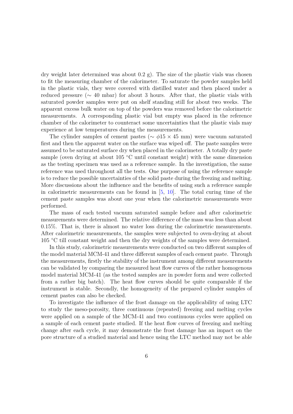dry weight later determined was about  $(0.2 \text{ g})$ . The size of the plastic vials was chosen to fit the measuring chamber of the calorimeter. To saturate the powder samples held in the plastic vials, they were covered with distilled water and then placed under a reduced pressure ( $\sim$  40 mbar) for about 3 hours. After that, the plastic vials with saturated powder samples were put on shelf standing still for about two weeks. The apparent excess bulk water on top of the powders was removed before the calorimetric measurements. A corresponding plastic vial but empty was placed in the reference chamber of the calorimeter to counteract some uncertainties that the plastic vials may experience at low temperatures during the measurements.

The cylinder samples of cement pastes ( $\sim \phi 15 \times 45$  mm) were vacuum saturated first and then the apparent water on the surface was wiped off. The paste samples were assumed to be saturated surface dry when placed in the calorimeter. A totally dry paste sample (oven drying at about 105  $°C$  until constant weight) with the same dimension as the testing specimen was used as a reference sample. In the investigation, the same reference was used throughout all the tests. One purpose of using the reference sample is to reduce the possible uncertainties of the solid paste during the freezing and melting. More discussions about the influence and the benefits of using such a reference sample in calorimetric measurements can be found in [5, 10]. The total curing time of the cement paste samples was about one year when the calorimetric measurements were performed.

The mass of each tested vacuum saturated sample before and after calorimetric measurements were determined. The relative difference of the mass was less than about 0.15%. That is, there is almost no water loss during the calorimetric measurements. After calorimetric measurements, the samples were subjected to oven-drying at about 105 ◦C till constant weight and then the dry weights of the samples were determined.

In this study, calorimetric measurements were conducted on two different samples of the model material MCM-41 and three different samples of each cement paste. Through the measurements, firstly the stability of the instrument among different measurements can be validated by comparing the measured heat flow curves of the rather homogenous model material MCM-41 (as the tested samples are in powder form and were collected from a rather big batch). The heat flow curves should be quite comparable if the instrument is stable. Secondly, the homogeneity of the prepared cylinder samples of cement pastes can also be checked.

To investigate the influence of the frost damage on the applicability of using LTC to study the meso-porosity, three continuous (repeated) freezing and melting cycles were applied on a sample of the MCM-41 and two continuous cycles were applied on a sample of each cement paste studied. If the heat flow curves of freezing and melting change after each cycle, it may demonstrate the frost damage has an impact on the pore structure of a studied material and hence using the LTC method may not be able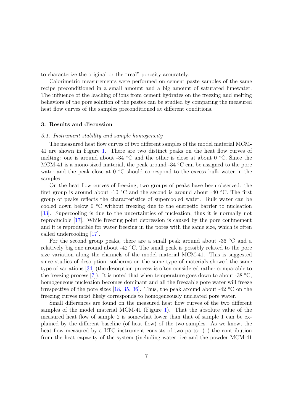to characterize the original or the "real" porosity accurately.

Calorimetric measurements were performed on cement paste samples of the same recipe preconditioned in a small amount and a big amount of saturated limewater. The influence of the leaching of ions from cement hydrates on the freezing and melting behaviors of the pore solution of the pastes can be studied by comparing the measured heat flow curves of the samples preconditioned at different conditions.

#### **3. Results and discussion**

#### *3.1. Instrument stability and sample homogeneity*

The measured heat flow curves of two different samples of the model material MCM-41 are shown in Figure 1. There are two distinct peaks on the heat flow curves of melting: one is around about -34 ◦C and the other is close at about 0 ◦C. Since the MCM-41 is a mono-sized material, the peak around  $-34\degree$ C can be assigned to the pore water and the peak close at 0 °C should correspond to the excess bulk water in the samples.

On the heat flow curves of freezing, two groups of peaks have been observed: the first group is around about -10 °C and the second is around about -40 °C. The first group of peaks reflects the characteristics of supercooled water. Bulk water can be cooled down below 0 ◦C without freezing due to the energetic barrier to nucleation [33]. Supercooling is due to the uncertainties of nucleation, thus it is normally not reproducible [17]. While freezing point depression is caused by the pore confinement and it is reproducible for water freezing in the pores with the same size, which is often called undercooling [17].

For the second group peaks, there are a small peak around about -36 ◦C and a relatively big one around about -42 ◦C. The small peak is possibly related to the pore size variation along the channels of the model material MCM-41. This is suggested since studies of desorption isotherms on the same type of materials showed the same type of variations [34] (the desorption process is often considered rather comparable to the freezing process [7]). It is noted that when temperature goes down to about -38  $°C$ , homogeneous nucleation becomes dominant and all the freezable pore water will freeze irrespective of the pore sizes  $[18, 35, 36]$ . Thus, the peak around about -42 °C on the freezing curves most likely corresponds to homogeneously nucleated pore water.

Small differences are found on the measured heat flow curves of the two different samples of the model material MCM-41 (Figure 1). That the absolute value of the measured heat flow of sample 2 is somewhat lower than that of sample 1 can be explained by the different baseline (of heat flow) of the two samples. As we know, the heat flow measured by a LTC instrument consists of two parts: (1) the contribution from the heat capacity of the system (including water, ice and the powder MCM-41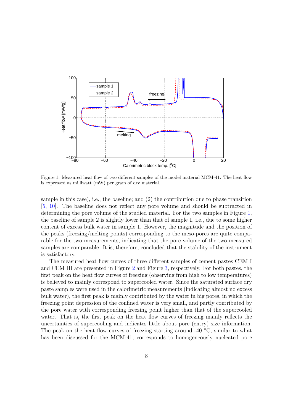

Figure 1: Measured heat flow of two different samples of the model material MCM-41. The heat flow is expressed as milliwatt (mW) per gram of dry material.

sample in this case), i.e., the baseline; and (2) the contribution due to phase transition [5, 10]. The baseline does not reflect any pore volume and should be subtracted in determining the pore volume of the studied material. For the two samples in Figure 1, the baseline of sample 2 is slightly lower than that of sample 1, i.e., due to some higher content of excess bulk water in sample 1. However, the magnitude and the position of the peaks (freezing/melting points) corresponding to the meso-pores are quite comparable for the two measurements, indicating that the pore volume of the two measured samples are comparable. It is, therefore, concluded that the stability of the instrument is satisfactory.

The measured heat flow curves of three different samples of cement pastes CEM I and CEM III are presented in Figure 2 and Figure 3, respectively. For both pastes, the first peak on the heat flow curves of freezing (observing from high to low temperatures) is believed to mainly correspond to supercooled water. Since the saturated surface dry paste samples were used in the calorimetric measurements (indicating almost no excess bulk water), the first peak is mainly contributed by the water in big pores, in which the freezing point depression of the confined water is very small, and partly contributed by the pore water with corresponding freezing point higher than that of the supercooled water. That is, the first peak on the heat flow curves of freezing mainly reflects the uncertainties of supercooling and indicates little about pore (entry) size information. The peak on the heat flow curves of freezing starting around -40  $°C$ , similar to what has been discussed for the MCM-41, corresponds to homogeneously nucleated pore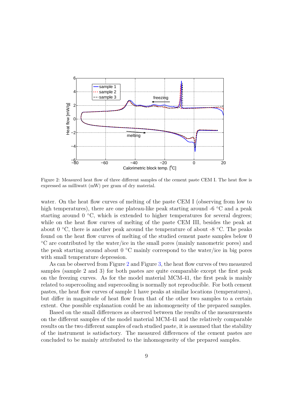

Figure 2: Measured heat flow of three different samples of the cement paste CEM I. The heat flow is expressed as milliwatt (mW) per gram of dry material.

water. On the heat flow curves of melting of the paste CEM I (observing from low to high temperatures), there are one plateau-like peak starting around -6 °C and a peak starting around  $0 °C$ , which is extended to higher temperatures for several degrees; while on the heat flow curves of melting of the paste CEM III, besides the peak at about 0  $\degree$ C, there is another peak around the temperature of about -8  $\degree$ C. The peaks found on the heat flow curves of melting of the studied cement paste samples below 0 ◦C are contributed by the water/ice in the small pores (mainly nanometric pores) and the peak starting around about  $0 °C$  mainly correspond to the water/ice in big pores with small temperature depression.

As can be observed from Figure 2 and Figure 3, the heat flow curves of two measured samples (sample 2 and 3) for both pastes are quite comparable except the first peak on the freezing curves. As for the model material MCM-41, the first peak is mainly related to supercooling and supercooling is normally not reproducible. For both cement pastes, the heat flow curves of sample 1 have peaks at similar locations (temperatures), but differ in magnitude of heat flow from that of the other two samples to a certain extent. One possible explanation could be an inhomogeneity of the prepared samples.

Based on the small differences as observed between the results of the measurements on the different samples of the model material MCM-41 and the relatively comparable results on the two different samples of each studied paste, it is assumed that the stability of the instrument is satisfactory. The measured differences of the cement pastes are concluded to be mainly attributed to the inhomogeneity of the prepared samples.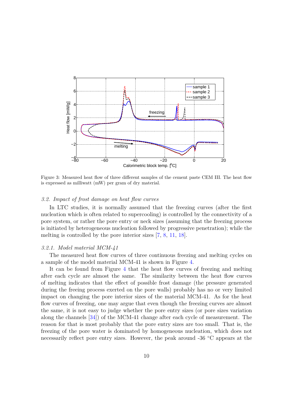

Figure 3: Measured heat flow of three different samples of the cement paste CEM III. The heat flow is expressed as milliwatt (mW) per gram of dry material.

#### *3.2. Impact of frost damage on heat flow curves*

In LTC studies, it is normally assumed that the freezing curves (after the first nucleation which is often related to supercooling) is controlled by the connectivity of a pore system, or rather the pore entry or neck sizes (assuming that the freezing process is initiated by heterogeneous nucleation followed by progressive penetration); while the melting is controlled by the pore interior sizes [7, 8, 11, 18].

#### *3.2.1. Model material MCM-41*

The measured heat flow curves of three continuous freezing and melting cycles on a sample of the model material MCM-41 is shown in Figure 4.

It can be found from Figure 4 that the heat flow curves of freezing and melting after each cycle are almost the same. The similarity between the heat flow curves of melting indicates that the effect of possible frost damage (the pressure generated during the freeing process exerted on the pore walls) probably has no or very limited impact on changing the pore interior sizes of the material MCM-41. As for the heat flow curves of freezing, one may argue that even though the freezing curves are almost the same, it is not easy to judge whether the pore entry sizes (or pore sizes variation along the channels [34]) of the MCM-41 change after each cycle of measurement. The reason for that is most probably that the pore entry sizes are too small. That is, the freezing of the pore water is dominated by homogeneous nucleation, which does not necessarily reflect pore entry sizes. However, the peak around -36 ◦C appears at the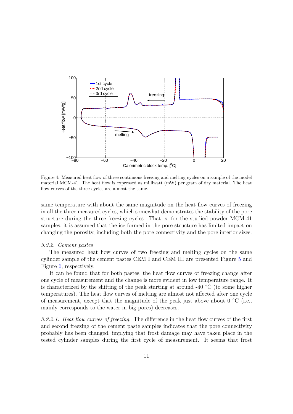

Figure 4: Measured heat flow of three continuous freezing and melting cycles on a sample of the model material MCM-41. The heat flow is expressed as milliwatt (mW) per gram of dry material. The heat flow curves of the three cycles are almost the same.

same temperature with about the same magnitude on the heat flow curves of freezing in all the three measured cycles, which somewhat demonstrates the stability of the pore structure during the three freezing cycles. That is, for the studied powder MCM-41 samples, it is assumed that the ice formed in the pore structure has limited impact on changing the porosity, including both the pore connectivity and the pore interior sizes.

#### *3.2.2. Cement pastes*

The measured heat flow curves of two freezing and melting cycles on the same cylinder sample of the cement pastes CEM I and CEM III are presented Figure 5 and Figure 6, respectively.

It can be found that for both pastes, the heat flow curves of freezing change after one cycle of measurement and the change is more evident in low temperature range. It is characterized by the shifting of the peak starting at around  $-40\degree\text{C}$  (to some higher temperatures). The heat flow curves of melting are almost not affected after one cycle of measurement, except that the magnitude of the peak just above about  $0 °C$  (i.e., mainly corresponds to the water in big pores) decreases.

*3.2.2.1. Heat flow curves of freezing.* The difference in the heat flow curves of the first and second freezing of the cement paste samples indicates that the pore connectivity probably has been changed, implying that frost damage may have taken place in the tested cylinder samples during the first cycle of measurement. It seems that frost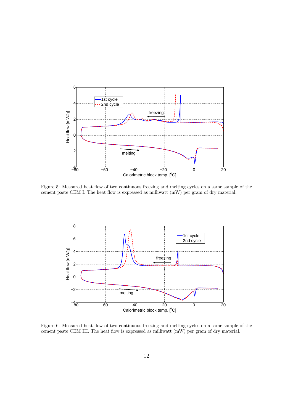

Figure 5: Measured heat flow of two continuous freezing and melting cycles on a same sample of the cement paste CEM I. The heat flow is expressed as milliwatt (mW) per gram of dry material.



Figure 6: Measured heat flow of two continuous freezing and melting cycles on a same sample of the cement paste CEM III. The heat flow is expressed as milliwatt (mW) per gram of dry material.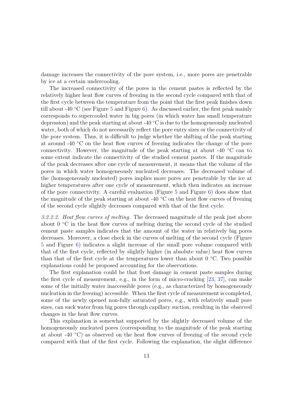damage increases the connectivity of the pore system, i.e., more pores are penetrable by ice at a certain undercooling.

The increased connectivity of the pores in the cement pastes is reflected by the relatively higher heat flow curves of freezing in the second cycle compared with that of the first cycle between the temperature from the point that the first peak finishes down till about -40 °C (see Figure 5 and Figure 6). As discussed earlier, the first peak mainly corresponds to supercooled water in big pores (in which water has small temperature depression) and the peak starting at about -40  $\degree$ C is due to the homogeneously nucleated water, both of which do not necessarily reflect the pore entry sizes or the connectivity of the pore system. Thus, it is difficult to judge whether the shifting of the peak starting at around -40 ◦C on the heat flow curves of freezing indicates the change of the pore connectivity. However, the magnitude of the peak starting at about -40 ◦C can to some extent indicate the connectivity of the studied cement pastes. If the magnitude of the peak decreases after one cycle of measurement, it means that the volume of the pores in which water homogeneously nucleated decreases. The decreased volume of the (homogeneously nucleated) pores implies more pores are penetrable by the ice at higher temperatures after one cycle of measurement, which then indicates an increase of the pore connectivity. A careful evaluation (Figure  $5$  and Figure  $6$ ) does show that the magnitude of the peak starting at about -40  $\degree$ C on the heat flow curves of freezing of the second cycle slightly decreases compared with that of the first cycle.

*3.2.2.2. Heat flow curves of melting.* The decreased magnitude of the peak just above about  $0^{\circ}$ C in the heat flow curves of melting during the second cycle of the studied cement paste samples indicates that the amount of the water in relatively big pores decreases. Moreover, a close check in the curves of melting of the second cycle (Figure 5 and Figure 6) indicates a slight increase of the small pore volume compared with that of the first cycle, reflected by slightly higher (in absolute value) heat flow curves than that of the first cycle at the temperatures lower than about  $0 °C$ . Two possible explanations could be proposed accounting for the observations.

The first explanation could be that frost damage in cement paste samples during the first cycle of measurement, e.g., in the form of micro-cracking [23, 37], can make some of the initially water inaccessible pores (e.g., as characterized by homogeneously nucleation in the freezing) accessible. When the first cycle of measurement is completed, some of the newly opened non-fully saturated pores, e.g., with relatively small pore sizes, can suck water from big pores through capillary suction, resulting in the observed changes in the heat flow curves.

This explanation is somewhat supported by the slightly decreased volume of the homogeneously nucleated pores (corresponding to the magnitude of the peak starting at about  $-40\degree\text{C}$  as observed on the heat flow curves of freezing of the second cycle compared with that of the first cycle. Following the explanation, the slight difference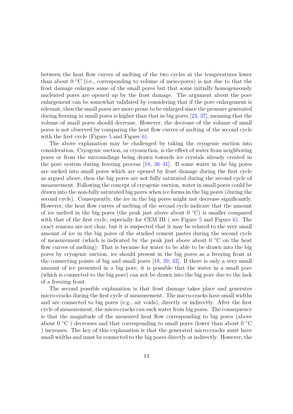between the heat flow curves of melting of the two cycles at the temperatures lower than about  $0 °C$  (i.e., corresponding to volume of meso-pores) is not due to that the frost damage enlarges some of the small pores but that some initially homogeneously nucleated pores are opened up by the frost damage. The argument about the pore enlargement can be somewhat validated by considering that if the pore enlargement is relevant, then the small pores are more prone to be enlarged since the pressure generated during freezing in small pores is higher than that in big pores [23, 37], meaning that the volume of small pores should decrease. However, the decrease of the volume of small pores is not observed by comparing the heat flow curves of melting of the second cycle with the first cycle (Figure 5 and Figure 6).

The above explanation may be challenged by taking the cryogenic suction into consideration. Cryogenic suction, or cryosuction, is the effect of water from neighboring pores or from the surroundings being drawn towards ice crystals already created in the pore system during freezing process [18, 38–41]. If some water in the big pores are sucked into small pores which are opened by frost damage during the first cycle as argued above, then the big pores are not fully saturated during the second cycle of measurement. Following the concept of cryogenic suction, water in small pores could be drawn into the non-fully saturated big pores when ice forms in the big pores (during the second cycle). Consequently, the ice in the big pores might not decrease significantly. However, the heat flow curves of melting of the second cycle indicate that the amount of ice melted in the big pores (the peak just above about  $0 °C$ ) is smaller compared with that of the first cycle, especially for CEM III (see Figure 5 and Figure 6). The exact reasons are not clear, but it is suspected that it may be related to the very small amount of ice in the big pores of the studied cement pastes during the second cycle of measurement (which is indicated by the peak just above about  $0 °C$  on the heat flow curves of melting). That is because for water to be able to be drawn into the big pores by cryogenic suction, ice should present in the big pores as a freezing front at the connecting points of big and small pores [18, 39, 42]. If there is only a very small amount of ice presented in a big pore, it is possible that the water in a small pore (which is connected to the big pore) can not be drawn into the big pore due to the lack of a freezing front.

The second possible explanation is that frost damage takes place and generates micro-cracks during the first cycle of measurement. The micro-cracks have small widths and are connected to big pores (e.g., air voids), directly or indirectly. After the first cycle of measurement, the micro-cracks can suck water from big pores. The consequence is that the magnitude of the measured heat flow corresponding to big pores (above about  $0 °C$ ) decreases and that corresponding to small pores (lower than about  $0 °C$ ) increases. The key of this explanation is that the generated micro-cracks must have small widths and must be connected to the big pores directly or indirectly. However, the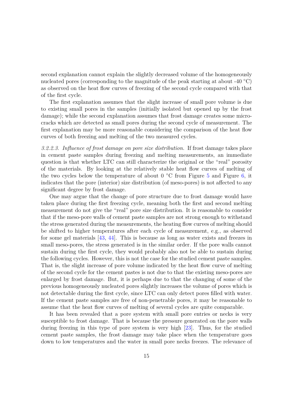second explanation cannot explain the slightly decreased volume of the homogeneously nucleated pores (corresponding to the magnitude of the peak starting at about -40  $\degree$ C) as observed on the heat flow curves of freezing of the second cycle compared with that of the first cycle.

The first explanation assumes that the slight increase of small pore volume is due to existing small pores in the samples (initially isolated but opened up by the frost damage); while the second explanation assumes that frost damage creates some microcracks which are detected as small pores during the second cycle of measurement. The first explanation may be more reasonable considering the comparison of the heat flow curves of both freezing and melting of the two measured cycles.

*3.2.2.3. Influence of frost damage on pore size distribution.* If frost damage takes place in cement paste samples during freezing and melting measurements, an immediate question is that whether LTC can still characterize the original or the "real" porosity of the materials. By looking at the relatively stable heat flow curves of melting of the two cycles below the temperature of about  $0 °C$  from Figure 5 and Figure 6, it indicates that the pore (interior) size distribution (of meso-pores) is not affected to any significant degree by frost damage.

One may argue that the change of pore structure due to frost damage would have taken place during the first freezing cycle, meaning both the first and second melting measurement do not give the "real" pore size distribution. It is reasonable to consider that if the meso-pore walls of cement paste samples are not strong enough to withstand the stress generated during the measurements, the heating flow curves of melting should be shifted to higher temperatures after each cycle of measurement, e.g., as observed for some gel materials [43, 44]. This is because as long as water exists and freezes in small meso-pores, the stress generated is in the similar order. If the pore walls cannot sustain during the first cycle, they would probably also not be able to sustain during the following cycles. However, this is not the case for the studied cement paste samples. That is, the slight increase of pore volume indicated by the heat flow curve of melting of the second cycle for the cement pastes is not due to that the existing meso-pores are enlarged by frost damage. But, it is perhaps due to that the changing of some of the previous homogeneously nucleated pores slightly increases the volume of pores which is not detectable during the first cycle, since LTC can only detect pores filled with water. If the cement paste samples are free of non-penetrable pores, it may be reasonable to assume that the heat flow curves of melting of several cycles are quite comparable.

It has been revealed that a pore system with small pore entries or necks is very susceptible to frost damage. That is because the pressure generated on the pore walls during freezing in this type of pore system is very high [23]. Thus, for the studied cement paste samples, the frost damage may take place when the temperature goes down to low temperatures and the water in small pore necks freezes. The relevance of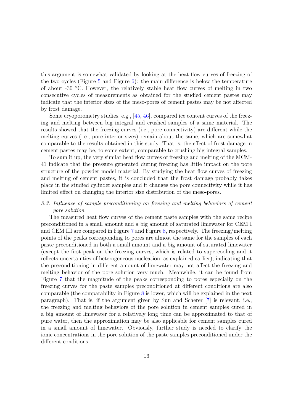this argument is somewhat validated by looking at the heat flow curves of freezing of the two cycles (Figure 5 and Figure 6): the main difference is below the temperature of about -30 ◦C. However, the relatively stable heat flow curves of melting in two consecutive cycles of measurements as obtained for the studied cement pastes may indicate that the interior sizes of the meso-pores of cement pastes may be not affected by frost damage.

Some cryoporometry studies, e.g., [45, 46], compared ice content curves of the freezing and melting between big integral and crushed samples of a same material. The results showed that the freezing curves (i.e., pore connectivity) are different while the melting curves (i.e., pore interior sizes) remain about the same, which are somewhat comparable to the results obtained in this study. That is, the effect of frost damage in cement pastes may be, to some extent, comparable to crushing big integral samples.

To sum it up, the very similar heat flow curves of freezing and melting of the MCM-41 indicate that the pressure generated during freezing has little impact on the pore structure of the powder model material. By studying the heat flow curves of freezing and melting of cement pastes, it is concluded that the frost damage probably takes place in the studied cylinder samples and it changes the pore connectivity while it has limited effect on changing the interior size distribution of the meso-pores.

## *3.3. Influence of sample preconditioning on freezing and melting behaviors of cement pore solution*

The measured heat flow curves of the cement paste samples with the same recipe preconditioned in a small amount and a big amount of saturated limewater for CEM I and CEM III are compared in Figure 7 and Figure 8, respectively. The freezing/melting points of the peaks corresponding to pores are almost the same for the samples of each paste preconditioned in both a small amount and a big amount of saturated limewater (except the first peak on the freezing curves, which is related to supercooling and it reflects uncertainties of heterogeneous nucleation, as explained earlier), indicating that the preconditioning in different amount of limewater may not affect the freezing and melting behavior of the pore solution very much. Meanwhile, it can be found from Figure 7 that the magnitude of the peaks corresponding to pores especially on the freezing curves for the paste samples preconditioned at different conditions are also comparable (the comparability in Figure 8 is lower, which will be explained in the next paragraph). That is, if the argument given by Sun and Scherer [7] is relevant, i.e., the freezing and melting behaviors of the pore solution in cement samples cured in a big amount of limewater for a relatively long time can be approximated to that of pure water, then the approximation may be also applicable for cement samples cured in a small amount of limewater. Obviously, further study is needed to clarify the ionic concentrations in the pore solution of the paste samples preconditioned under the different conditions.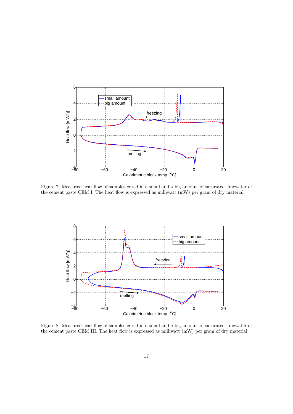

Figure 7: Measured heat flow of samples cured in a small and a big amount of saturated limewater of the cement paste CEM I. The heat flow is expressed as milliwatt (mW) per gram of dry material.



Figure 8: Measured heat flow of samples cured in a small and a big amount of saturated limewater of the cement paste CEM III. The heat flow is expressed as milliwatt (mW) per gram of dry material.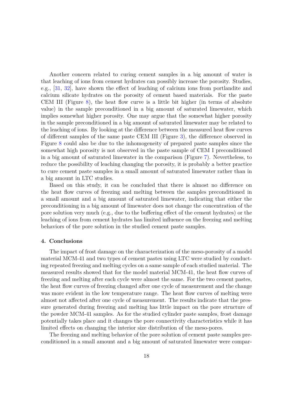Another concern related to curing cement samples in a big amount of water is that leaching of ions from cement hydrates can possibly increase the porosity. Studies, e.g., [31, 32], have shown the effect of leaching of calcium ions from portlandite and calcium silicate hydrates on the porosity of cement based materials. For the paste CEM III (Figure  $8$ ), the heat flow curve is a little bit higher (in terms of absolute value) in the sample preconditioned in a big amount of saturated limewater, which implies somewhat higher porosity. One may argue that the somewhat higher porosity in the sample preconditioned in a big amount of saturated limewater may be related to the leaching of ions. By looking at the difference between the measured heat flow curves of different samples of the same paste CEM III (Figure 3), the difference observed in Figure 8 could also be due to the inhomogeneity of prepared paste samples since the somewhat high porosity is not observed in the paste sample of CEM I preconditioned in a big amount of saturated limewater in the comparison (Figure 7). Nevertheless, to reduce the possibility of leaching changing the porosity, it is probably a better practice to cure cement paste samples in a small amount of saturated limewater rather than in a big amount in LTC studies.

Based on this study, it can be concluded that there is almost no difference on the heat flow curves of freezing and melting between the samples preconditioned in a small amount and a big amount of saturated limewater, indicating that either the preconditioning in a big amount of limewater does not change the concentration of the pore solution very much (e.g., due to the buffering effect of the cement hydrates) or the leaching of ions from cement hydrates has limited influence on the freezing and melting behaviors of the pore solution in the studied cement paste samples.

#### **4. Conclusions**

The impact of frost damage on the characterization of the meso-porosity of a model material MCM-41 and two types of cement pastes using LTC were studied by conducting repeated freezing and melting cycles on a same sample of each studied material. The measured results showed that for the model material MCM-41, the heat flow curves of freezing and melting after each cycle were almost the same. For the two cement pastes, the heat flow curves of freezing changed after one cycle of measurement and the change was more evident in the low temperature range. The heat flow curves of melting were almost not affected after one cycle of measurement. The results indicate that the pressure generated during freezing and melting has little impact on the pore structure of the powder MCM-41 samples. As for the studied cylinder paste samples, frost damage potentially takes place and it changes the pore connectivity characteristics while it has limited effects on changing the interior size distribution of the meso-pores.

The freezing and melting behavior of the pore solution of cement paste samples preconditioned in a small amount and a big amount of saturated limewater were compar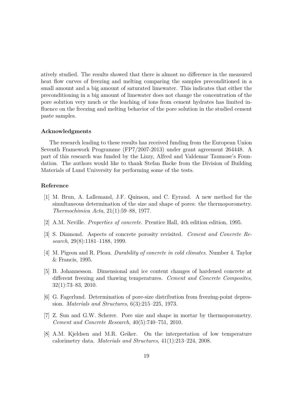atively studied. The results showed that there is almost no difference in the measured heat flow curves of freezing and melting comparing the samples preconditioned in a small amount and a big amount of saturated limewater. This indicates that either the preconditioning in a big amount of limewater does not change the concentration of the pore solution very much or the leaching of ions from cement hydrates has limited influence on the freezing and melting behavior of the pore solution in the studied cement paste samples.

#### **Acknowledgments**

The research leading to these results has received funding from the European Union Seventh Framework Programme (FP7/2007-2013) under grant agreement 264448. A part of this research was funded by the Lizzy, Alfred and Valdemar Taumose's Foundation. The authors would like to thank Stefan Backe from the Division of Building Materials of Lund University for performing some of the tests.

#### **Reference**

- [1] M. Brun, A. Lallemand, J.F. Quinson, and C. Eyraud. A new method for the simultaneous determination of the size and shape of pores: the thermoporometry. *Thermochimica Acta*, 21(1):59–88, 1977.
- [2] A.M. Neville. *Properties of concrete*. Prentice Hall, 4th edition edition, 1995.
- [3] S. Diamond. Aspects of concrete porosity revisited. *Cement and Concrete Research*, 29(8):1181–1188, 1999.
- [4] M. Pigeon and R. Pleau. *Durability of concrete in cold climates*. Number 4. Taylor & Francis, 1995.
- [5] B. Johannesson. Dimensional and ice content changes of hardened concrete at different freezing and thawing temperatures. *Cement and Concrete Composites*, 32(1):73–83, 2010.
- [6] G. Fagerlund. Determination of pore-size distribution from freezing-point depression. *Materials and Structures*, 6(3):215–225, 1973.
- [7] Z. Sun and G.W. Scherer. Pore size and shape in mortar by thermoporometry. *Cement and Concrete Research*, 40(5):740–751, 2010.
- [8] A.M. Kjeldsen and M.R. Geiker. On the interpretation of low temperature calorimetry data. *Materials and Structures*, 41(1):213–224, 2008.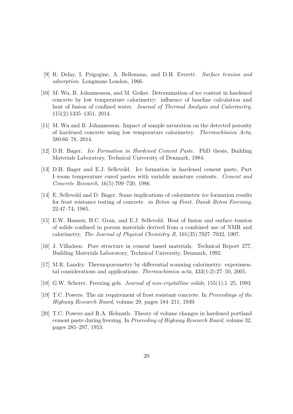- [9] R. Defay, I. Prigogine, A. Bellemans, and D.H. Everett. *Surface tension and adsorption*. Longmans London, 1966.
- [10] M. Wu, B. Johannesson, and M. Geiker. Determination of ice content in hardened concrete by low temperature calorimetry: influence of baseline calculation and heat of fusion of confined water. *Journal of Thermal Analysis and Calorimetry*, 115(2):1335–1351, 2014.
- [11] M. Wu and B. Johannesson. Impact of sample saturation on the detected porosity of hardened concrete using low temperature calorimetry. *Thermochimica Acta*, 580:66–78, 2014.
- [12] D.H. Bager. *Ice Formation in Hardened Cement Paste*. PhD thesis, Building Materials Laboratory, Technical University of Denmark, 1984.
- [13] D.H. Bager and E.J. Sellevold. Ice formation in hardened cement paste, Part I–room temperature cured pastes with variable moisture contents. *Cement and Concrete Research*, 16(5):709–720, 1986.
- [14] E. Sellevold and D. Bager. Some implications of calorimetric ice formation results for frost reistance testing of concrete. *in Beton og Frost, Dansk Beton Forening*, 22:47–74, 1985.
- [15] E.W. Hansen, H.C. Gran, and E.J. Sellevold. Heat of fusion and surface tension of solids confined in porous materials derived from a combined use of NMR and calorimetry. *The Journal of Physical Chemistry B*, 101(35):7027–7032, 1997.
- [16] J. Villadsen. Pore structure in cement based materials. Technical Report 277, Building Materials Laboratory, Technical University, Denmark, 1992.
- [17] M.R. Landry. Thermoporometry by differential scanning calorimetry: experimental considerations and applications. *Thermochimica acta*, 433(1-2):27–50, 2005.
- [18] G.W. Scherer. Freezing gels. *Journal of non-crystalline solids*, 155(1):1–25, 1993.
- [19] T.C. Powers. The air requirement of frost resistant concrete. In *Proceedings of the Highway Research Board*, volume 29, pages 184–211, 1949.
- [20] T.C. Powers and R.A. Helmuth. Theory of volume changes in hardened portland cement paste during freezing. In *Proceeding of Highway Research Board*, volume 32, pages 285–297, 1953.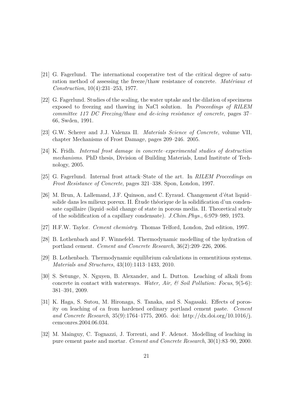- [21] G. Fagerlund. The international cooperative test of the critical degree of saturation method of assessing the freeze/thaw resistance of concrete. *Matériaux et Construction*, 10(4):231–253, 1977.
- [22] G. Fagerlund. Studies of the scaling, the water uptake and the dilation of specimens exposed to freezing and thawing in NaCl solution. In *Proceedings of RILEM committee 117 DC Freezing/thaw and de-icing resistance of concrete*, pages 37– 66, Swden, 1991.
- [23] G.W. Scherer and J.J. Valenza II. *Materials Science of Concrete*, volume VII, chapter Mechanisms of Frost Damage, pages 209–246. 2005.
- [24] K. Fridh. *Internal frost damage in concrete–experimental studies of destruction mechanisms*. PhD thesis, Division of Building Materials, Lund Institute of Technology, 2005.
- [25] G. Fagerlund. Internal frost attack–State of the art. In *RILEM Proceedings on Frost Resistance of Concrete*, pages 321–338. Spon, London, 1997.
- [26] M. Brun, A. Lallemand, J.F. Quinson, and C. Eyraud. Changement d'état liquid– solide dans les milieux poreux. II. Étude théorique de la solidification d'un condensate capillaire (liquid–solid change of state in porous media. II. Theoretical study of the solidification of a capillary condensate). *J.Chim.Phys.*, 6:979–989, 1973.
- [27] H.F.W. Taylor. *Cement chemistry*. Thomas Telford, London, 2nd edition, 1997.
- [28] B. Lothenbach and F. Winnefeld. Thermodynamic modelling of the hydration of portland cement. *Cement and Concrete Research*, 36(2):209–226, 2006.
- [29] B. Lothenbach. Thermodynamic equilibrium calculations in cementitious systems. *Materials and Structures*, 43(10):1413–1433, 2010.
- [30] S. Setunge, N. Nguyen, B. Alexander, and L. Dutton. Leaching of alkali from concrete in contact with waterways. *Water, Air, & Soil Pollution: Focus*, 9(5-6): 381–391, 2009.
- [31] K. Haga, S. Sutou, M. Hironaga, S. Tanaka, and S. Nagasaki. Effects of porosity on leaching of ca from hardened ordinary portland cement paste. *Cement and Concrete Research*, 35(9):1764–1775, 2005. doi: http://dx.doi.org/10.1016/j. cemconres.2004.06.034.
- [32] M. Mainguy, C. Tognazzi, J. Torrenti, and F. Adenot. Modelling of leaching in pure cement paste and mortar. *Cement and Concrete Research*, 30(1):83–90, 2000.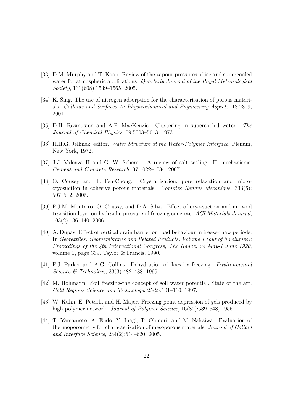- [33] D.M. Murphy and T. Koop. Review of the vapour pressures of ice and supercooled water for atmospheric applications. *Quarterly Journal of the Royal Meteorological Society*, 131(608):1539–1565, 2005.
- [34] K. Sing. The use of nitrogen adsorption for the characterisation of porous materials. *Colloids and Surfaces A: Physicochemical and Engineering Aspects*, 187:3–9, 2001.
- [35] D.H. Rasmussen and A.P. MacKenzie. Clustering in supercooled water. *The Journal of Chemical Physics*, 59:5003–5013, 1973.
- [36] H.H.G. Jellinek, editor. *Water Structure at the Water-Polymer Interface*. Plenum, New York, 1972.
- [37] J.J. Valenza II and G. W. Scherer. A review of salt scaling: II. mechanisms. *Cement and Concrete Research*, 37:1022–1034, 2007.
- [38] O. Coussy and T. Fen-Chong. Crystallization, pore relaxation and microcryosuction in cohesive porous materials. *Comptes Rendus Mecanique*, 333(6): 507–512, 2005.
- [39] P.J.M. Monteiro, O. Coussy, and D.A. Silva. Effect of cryo-suction and air void transition layer on hydraulic pressure of freezing concrete. *ACI Materials Journal*, 103(2):136–140, 2006.
- [40] A. Dupas. Effect of vertical drain barrier on road behaviour in freeze-thaw periods. In *Geotextiles, Geomembranes and Related Products, Volume 1 (out of 3 volumes): Proceedings of the 4th International Congress, The Hague, 28 May-1 June 1990*, volume 1, page 339. Taylor & Francis, 1990.
- [41] P.J. Parker and A.G. Collins. Dehydration of flocs by freezing. *Environmental Science & Technology*, 33(3):482–488, 1999.
- [42] M. Hohmann. Soil freezing-the concept of soil water potential. State of the art. *Cold Regions Science and Technology*, 25(2):101–110, 1997.
- [43] W. Kuhn, E. Peterli, and H. Majer. Freezing point depression of gels produced by high polymer network. *Journal of Polymer Science*, 16(82):539–548, 1955.
- [44] T. Yamamoto, A. Endo, Y. Inagi, T. Ohmori, and M. Nakaiwa. Evaluation of thermoporometry for characterization of mesoporous materials. *Journal of Colloid and Interface Science*, 284(2):614–620, 2005.